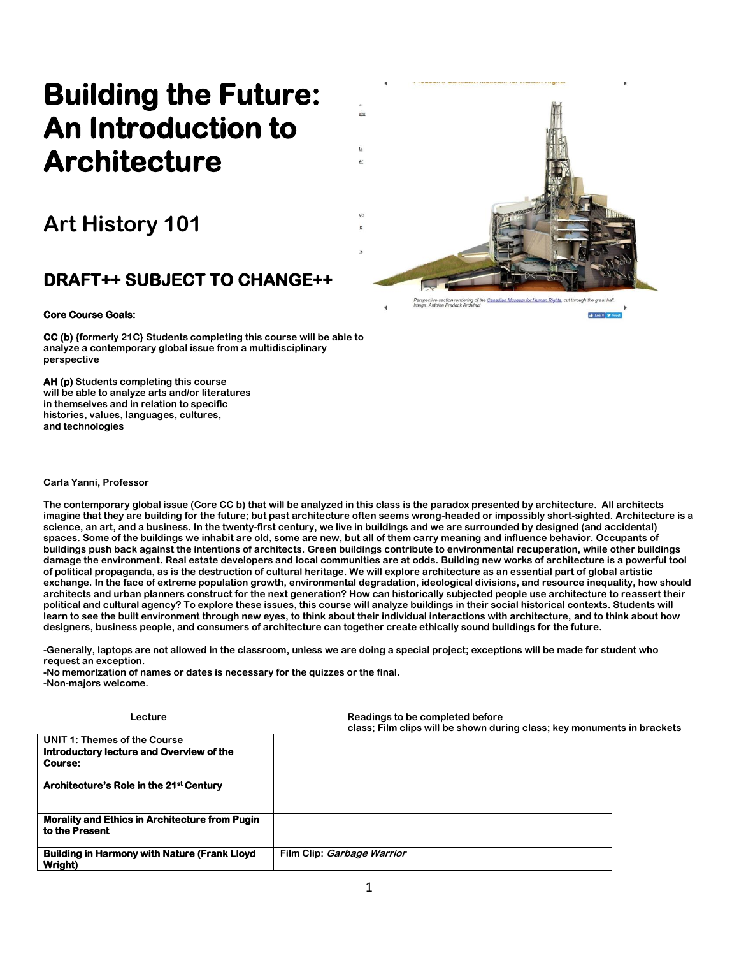# **Building the Future: An Introduction to Architecture**

## **Art History 101**

### **DRAFT++ SUBJECT TO CHANGE++**

#### **Core Course Goals:**

**CC (b) {formerly 21C} Students completing this course will be able to analyze a contemporary global issue from a multidisciplinary perspective**

**AH (p) Students completing this course will be able to analyze arts and/or literatures in themselves and in relation to specific histories, values, languages, cultures, and technologies** 

**Carla Yanni, Professor**

**The contemporary global issue (Core CC b) that will be analyzed in this class is the paradox presented by architecture. All architects imagine that they are building for the future; but past architecture often seems wrong-headed or impossibly short-sighted. Architecture is a science, an art, and a business. In the twenty-first century, we live in buildings and we are surrounded by designed (and accidental) spaces. Some of the buildings we inhabit are old, some are new, but all of them carry meaning and influence behavior. Occupants of buildings push back against the intentions of architects. Green buildings contribute to environmental recuperation, while other buildings damage the environment. Real estate developers and local communities are at odds. Building new works of architecture is a powerful tool of political propaganda, as is the destruction of cultural heritage. We will explore architecture as an essential part of global artistic exchange. In the face of extreme population growth, environmental degradation, ideological divisions, and resource inequality, how should architects and urban planners construct for the next generation? How can historically subjected people use architecture to reassert their political and cultural agency? To explore these issues, this course will analyze buildings in their social historical contexts. Students will learn to see the built environment through new eyes, to think about their individual interactions with architecture, and to think about how designers, business people, and consumers of architecture can together create ethically sound buildings for the future.** 

**-Generally, laptops are not allowed in the classroom, unless we are doing a special project; exceptions will be made for student who request an exception.**

**Lecture Completed before Readings to be completed before** 

**-No memorization of names or dates is necessary for the quizzes or the final. -Non-majors welcome.**

|                                                                         | class: Film clips will be shown during class; key monuments in brackets |  |
|-------------------------------------------------------------------------|-------------------------------------------------------------------------|--|
| <b>UNIT 1: Themes of the Course</b>                                     |                                                                         |  |
| Introductory lecture and Overview of the<br><b>Course:</b>              |                                                                         |  |
| Architecture's Role in the 21 <sup>st</sup> Century                     |                                                                         |  |
| <b>Morality and Ethics in Architecture from Pugin</b><br>to the Present |                                                                         |  |
| <b>Building in Harmony with Nature (Frank Lloyd)</b><br>Wright)         | Film Clip: Garbage Warrior                                              |  |



nan Rights

de Like 0 9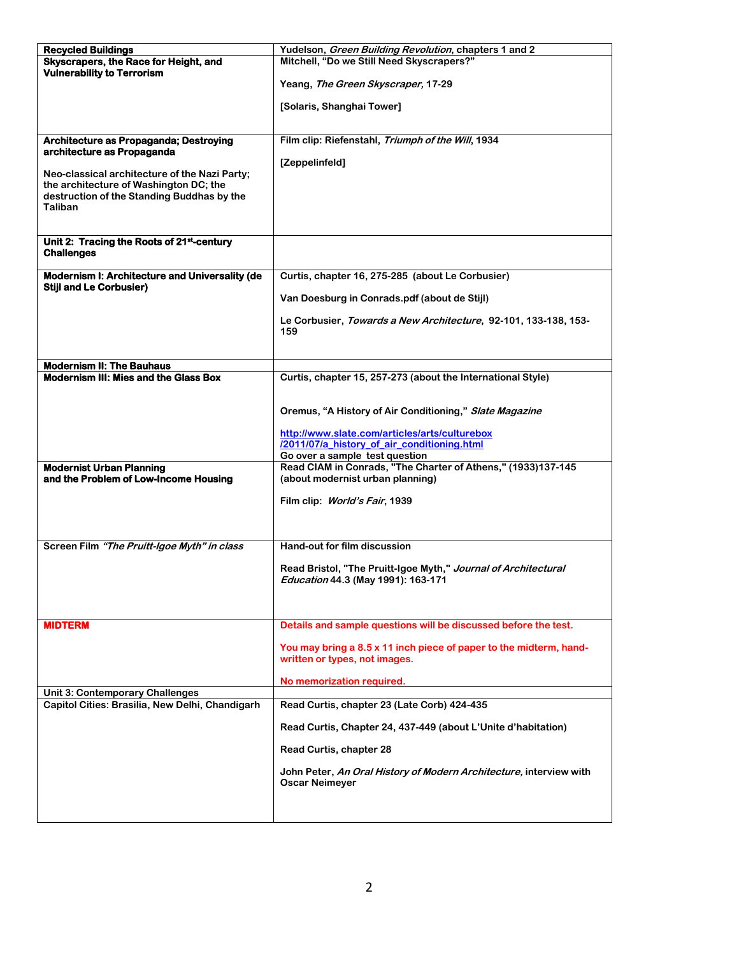| <b>Recycled Buildings</b>                                                               | Yudelson, Green Building Revolution, chapters 1 and 2                                            |  |  |
|-----------------------------------------------------------------------------------------|--------------------------------------------------------------------------------------------------|--|--|
| Skyscrapers, the Race for Height, and                                                   | Mitchell, "Do we Still Need Skyscrapers?"                                                        |  |  |
| <b>Vulnerability to Terrorism</b>                                                       |                                                                                                  |  |  |
|                                                                                         | Yeang, The Green Skyscraper, 17-29                                                               |  |  |
|                                                                                         | [Solaris, Shanghai Tower]                                                                        |  |  |
|                                                                                         |                                                                                                  |  |  |
| Architecture as Propaganda; Destroying                                                  | Film clip: Riefenstahl, Triumph of the Will, 1934                                                |  |  |
| architecture as Propaganda                                                              |                                                                                                  |  |  |
|                                                                                         | [Zeppelinfeld]                                                                                   |  |  |
| Neo-classical architecture of the Nazi Party;<br>the architecture of Washington DC; the |                                                                                                  |  |  |
| destruction of the Standing Buddhas by the                                              |                                                                                                  |  |  |
| <b>Taliban</b>                                                                          |                                                                                                  |  |  |
|                                                                                         |                                                                                                  |  |  |
| Unit 2: Tracing the Roots of 21st-century                                               |                                                                                                  |  |  |
| <b>Challenges</b>                                                                       |                                                                                                  |  |  |
|                                                                                         |                                                                                                  |  |  |
| Modernism I: Architecture and Universality (de<br><b>Stiil and Le Corbusier)</b>        | Curtis, chapter 16, 275-285 (about Le Corbusier)                                                 |  |  |
|                                                                                         | Van Doesburg in Conrads.pdf (about de Stijl)                                                     |  |  |
|                                                                                         | Le Corbusier, Towards a New Architecture, 92-101, 133-138, 153-                                  |  |  |
|                                                                                         | 159                                                                                              |  |  |
|                                                                                         |                                                                                                  |  |  |
|                                                                                         |                                                                                                  |  |  |
| <b>Modernism II: The Bauhaus</b><br>Modernism III: Mies and the Glass Box               | Curtis, chapter 15, 257-273 (about the International Style)                                      |  |  |
|                                                                                         |                                                                                                  |  |  |
|                                                                                         |                                                                                                  |  |  |
|                                                                                         | Oremus, "A History of Air Conditioning," Slate Magazine                                          |  |  |
|                                                                                         | http://www.slate.com/articles/arts/culturebox                                                    |  |  |
|                                                                                         | /2011/07/a history of air conditioning.html                                                      |  |  |
|                                                                                         | Go over a sample test question                                                                   |  |  |
| <b>Modernist Urban Planning</b><br>and the Problem of Low-Income Housing                | Read CIAM in Conrads, "The Charter of Athens," (1933)137-145<br>(about modernist urban planning) |  |  |
|                                                                                         |                                                                                                  |  |  |
|                                                                                         | Film clip: World's Fair, 1939                                                                    |  |  |
|                                                                                         |                                                                                                  |  |  |
|                                                                                         |                                                                                                  |  |  |
| Screen Film "The Pruitt-Igoe Myth" in class                                             | Hand-out for film discussion                                                                     |  |  |
|                                                                                         | Read Bristol, "The Pruitt-Igoe Myth," Journal of Architectural                                   |  |  |
|                                                                                         | Education 44.3 (May 1991): 163-171                                                               |  |  |
|                                                                                         |                                                                                                  |  |  |
|                                                                                         |                                                                                                  |  |  |
| <b>MIDTERM</b>                                                                          | Details and sample questions will be discussed before the test.                                  |  |  |
|                                                                                         | You may bring a 8.5 x 11 inch piece of paper to the midterm, hand-                               |  |  |
|                                                                                         | written or types, not images.                                                                    |  |  |
|                                                                                         |                                                                                                  |  |  |
| <b>Unit 3: Contemporary Challenges</b>                                                  | No memorization required.                                                                        |  |  |
| Capitol Cities: Brasilia, New Delhi, Chandigarh                                         | Read Curtis, chapter 23 (Late Corb) 424-435                                                      |  |  |
|                                                                                         | Read Curtis, Chapter 24, 437-449 (about L'Unite d'habitation)                                    |  |  |
|                                                                                         |                                                                                                  |  |  |
|                                                                                         | Read Curtis, chapter 28                                                                          |  |  |
|                                                                                         | John Peter, An Oral History of Modern Architecture, interview with                               |  |  |
|                                                                                         | <b>Oscar Neimeyer</b>                                                                            |  |  |
|                                                                                         |                                                                                                  |  |  |
|                                                                                         |                                                                                                  |  |  |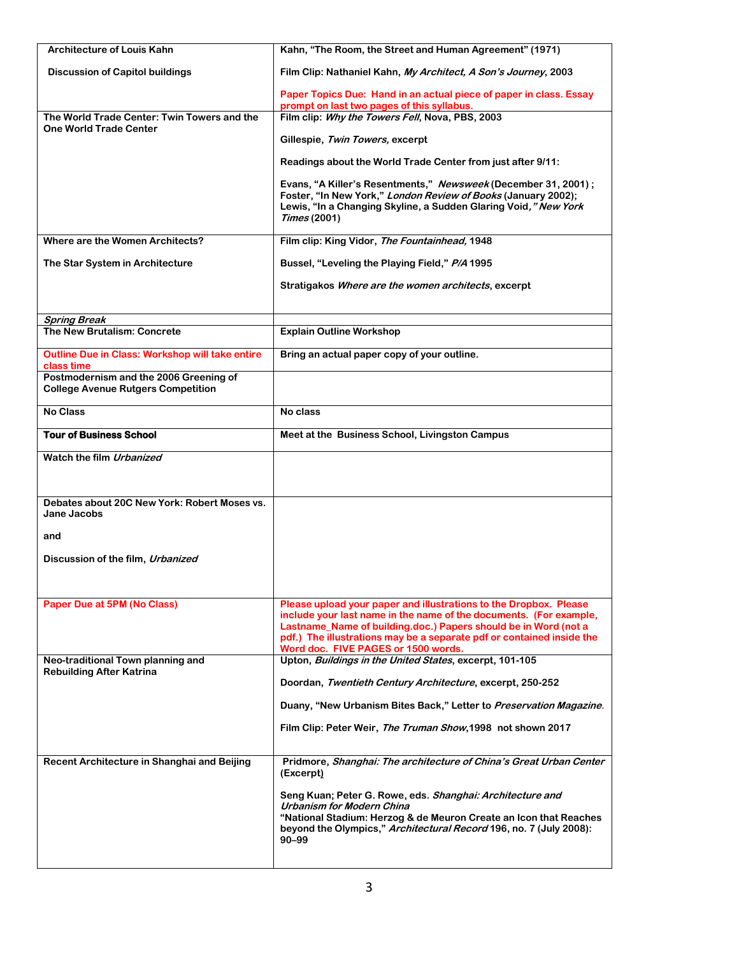| <b>Architecture of Louis Kahn</b>                                                   | Kahn, "The Room, the Street and Human Agreement" (1971)                                                                                                                                                                                                                                                                    |
|-------------------------------------------------------------------------------------|----------------------------------------------------------------------------------------------------------------------------------------------------------------------------------------------------------------------------------------------------------------------------------------------------------------------------|
| <b>Discussion of Capitol buildings</b>                                              | Film Clip: Nathaniel Kahn, My Architect, A Son's Journey, 2003                                                                                                                                                                                                                                                             |
|                                                                                     | Paper Topics Due: Hand in an actual piece of paper in class. Essay<br>prompt on last two pages of this syllabus.                                                                                                                                                                                                           |
| The World Trade Center: Twin Towers and the                                         | Film clip: Why the Towers Fell, Nova, PBS, 2003                                                                                                                                                                                                                                                                            |
| <b>One World Trade Center</b>                                                       | Gillespie, Twin Towers, excerpt                                                                                                                                                                                                                                                                                            |
|                                                                                     | Readings about the World Trade Center from just after 9/11:                                                                                                                                                                                                                                                                |
|                                                                                     | Evans, "A Killer's Resentments," Newsweek (December 31, 2001);                                                                                                                                                                                                                                                             |
|                                                                                     | Foster, "In New York," London Review of Books (January 2002);<br>Lewis, "In a Changing Skyline, a Sudden Glaring Void," New York<br>Times (2001)                                                                                                                                                                           |
| Where are the Women Architects?                                                     | Film clip: King Vidor, The Fountainhead, 1948                                                                                                                                                                                                                                                                              |
| The Star System in Architecture                                                     | Bussel, "Leveling the Playing Field," P/A 1995                                                                                                                                                                                                                                                                             |
|                                                                                     | Stratigakos Where are the women architects, excerpt                                                                                                                                                                                                                                                                        |
| <b>Spring Break</b>                                                                 |                                                                                                                                                                                                                                                                                                                            |
| The New Brutalism: Concrete                                                         | <b>Explain Outline Workshop</b>                                                                                                                                                                                                                                                                                            |
| Outline Due in Class: Workshop will take entire<br>class time                       | Bring an actual paper copy of your outline.                                                                                                                                                                                                                                                                                |
| Postmodernism and the 2006 Greening of<br><b>College Avenue Rutgers Competition</b> |                                                                                                                                                                                                                                                                                                                            |
| <b>No Class</b>                                                                     | No class                                                                                                                                                                                                                                                                                                                   |
| <b>Tour of Business School</b>                                                      | Meet at the Business School, Livingston Campus                                                                                                                                                                                                                                                                             |
| Watch the film Urbanized                                                            |                                                                                                                                                                                                                                                                                                                            |
| Debates about 20C New York: Robert Moses vs.<br>Jane Jacobs                         |                                                                                                                                                                                                                                                                                                                            |
| and                                                                                 |                                                                                                                                                                                                                                                                                                                            |
| Discussion of the film, Urbanized                                                   |                                                                                                                                                                                                                                                                                                                            |
|                                                                                     |                                                                                                                                                                                                                                                                                                                            |
| Paper Due at 5PM (No Class)                                                         | Please upload your paper and illustrations to the Dropbox. Please<br>include your last name in the name of the documents. (For example,<br>Lastname_Name of building.doc.) Papers should be in Word (not a<br>pdf.) The illustrations may be a separate pdf or contained inside the<br>Word doc. FIVE PAGES or 1500 words. |
| Neo-traditional Town planning and<br><b>Rebuilding After Katrina</b>                | Upton, Buildings in the United States, excerpt, 101-105                                                                                                                                                                                                                                                                    |
|                                                                                     | Doordan, Twentieth Century Architecture, excerpt, 250-252                                                                                                                                                                                                                                                                  |
|                                                                                     | Duany, "New Urbanism Bites Back," Letter to Preservation Magazine.                                                                                                                                                                                                                                                         |
|                                                                                     | Film Clip: Peter Weir, The Truman Show, 1998 not shown 2017                                                                                                                                                                                                                                                                |
| Recent Architecture in Shanghai and Beijing                                         | Pridmore, Shanghai: The architecture of China's Great Urban Center<br>(Excerpt)                                                                                                                                                                                                                                            |
|                                                                                     | Seng Kuan; Peter G. Rowe, eds. Shanghai: Architecture and<br><b>Urbanism for Modern China</b><br>"National Stadium: Herzog & de Meuron Create an Icon that Reaches<br>beyond the Olympics," Architectural Record 196, no. 7 (July 2008):<br>$90 - 99$                                                                      |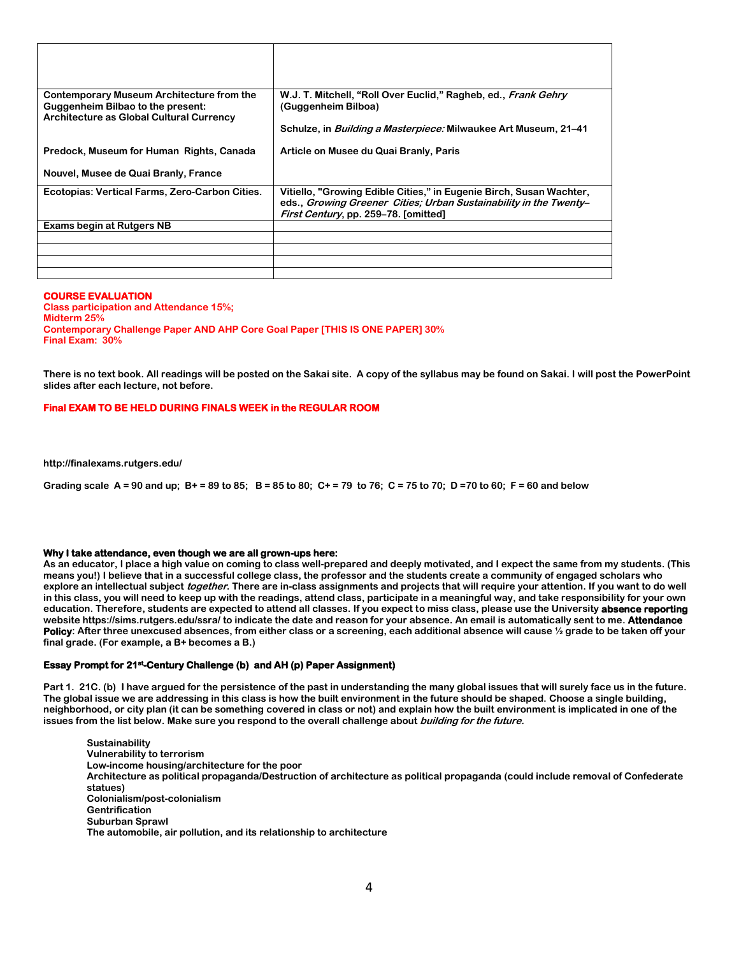| <b>Contemporary Museum Architecture from the</b><br><b>Guggenheim Bilbao to the present:</b><br>Architecture as Global Cultural Currency | W.J. T. Mitchell, "Roll Over Euclid," Ragheb, ed., Frank Gehry<br>(Guggenheim Bilboa)                                                                                            |
|------------------------------------------------------------------------------------------------------------------------------------------|----------------------------------------------------------------------------------------------------------------------------------------------------------------------------------|
|                                                                                                                                          | Schulze, in <i>Building a Masterpiece:</i> Milwaukee Art Museum, 21–41                                                                                                           |
| Predock, Museum for Human Rights, Canada                                                                                                 | Article on Musee du Quai Branly, Paris                                                                                                                                           |
| Nouvel, Musee de Quai Branly, France                                                                                                     |                                                                                                                                                                                  |
| Ecotopias: Vertical Farms, Zero-Carbon Cities.                                                                                           | Vitiello, "Growing Edible Cities," in Eugenie Birch, Susan Wachter,<br>eds., Growing Greener Cities; Urban Sustainability in the Twenty-<br>First Century, pp. 259-78. [omitted] |
| Exams begin at Rutgers NB                                                                                                                |                                                                                                                                                                                  |
|                                                                                                                                          |                                                                                                                                                                                  |
|                                                                                                                                          |                                                                                                                                                                                  |
|                                                                                                                                          |                                                                                                                                                                                  |
|                                                                                                                                          |                                                                                                                                                                                  |

#### **COURSE EVALUATION**

**Class participation and Attendance 15%; Midterm 25% Contemporary Challenge Paper AND AHP Core Goal Paper [THIS IS ONE PAPER] 30% Final Exam: 30%**

**There is no text book. All readings will be posted on the Sakai site. A copy of the syllabus may be found on Sakai. I will post the PowerPoint slides after each lecture, not before.** 

#### **Final EXAM TO BE HELD DURING FINALS WEEK in the REGULAR ROOM**

**http://finalexams.rutgers.edu/** 

**Grading scale A = 90 and up; B+ = 89 to 85; B = 85 to 80; C+ = 79 to 76; C = 75 to 70; D =70 to 60; F = 60 and below**

#### **Why I take attendance, even though we are all grown-ups here:**

**As an educator, I place a high value on coming to class well-prepared and deeply motivated, and I expect the same from my students. (This means you!) I believe that in a successful college class, the professor and the students create a community of engaged scholars who explore an intellectual subject together. There are in-class assignments and projects that will require your attention. If you want to do well in this class, you will need to keep up with the readings, attend class, participate in a meaningful way, and take responsibility for your own education. Therefore, students are expected to attend all classes. If you expect to miss class, please use the University absence reporting website https://sims.rutgers.edu/ssra/ to indicate the date and reason for your absence. An email is automatically sent to me. Attendance Policy: After three unexcused absences, from either class or a screening, each additional absence will cause ½ grade to be taken off your final grade. (For example, a B+ becomes a B.)** 

#### **Essay Prompt for 21st-Century Challenge (b) and AH (p) Paper Assignment)**

**Part 1. 21C. (b) I have argued for the persistence of the past in understanding the many global issues that will surely face us in the future. The global issue we are addressing in this class is how the built environment in the future should be shaped. Choose a single building, neighborhood, or city plan (it can be something covered in class or not) and explain how the built environment is implicated in one of the issues from the list below. Make sure you respond to the overall challenge about building for the future.**

**Sustainability Vulnerability to terrorism Low-income housing/architecture for the poor Architecture as political propaganda/Destruction of architecture as political propaganda (could include removal of Confederate statues) Colonialism/post-colonialism Gentrification Suburban Sprawl The automobile, air pollution, and its relationship to architecture**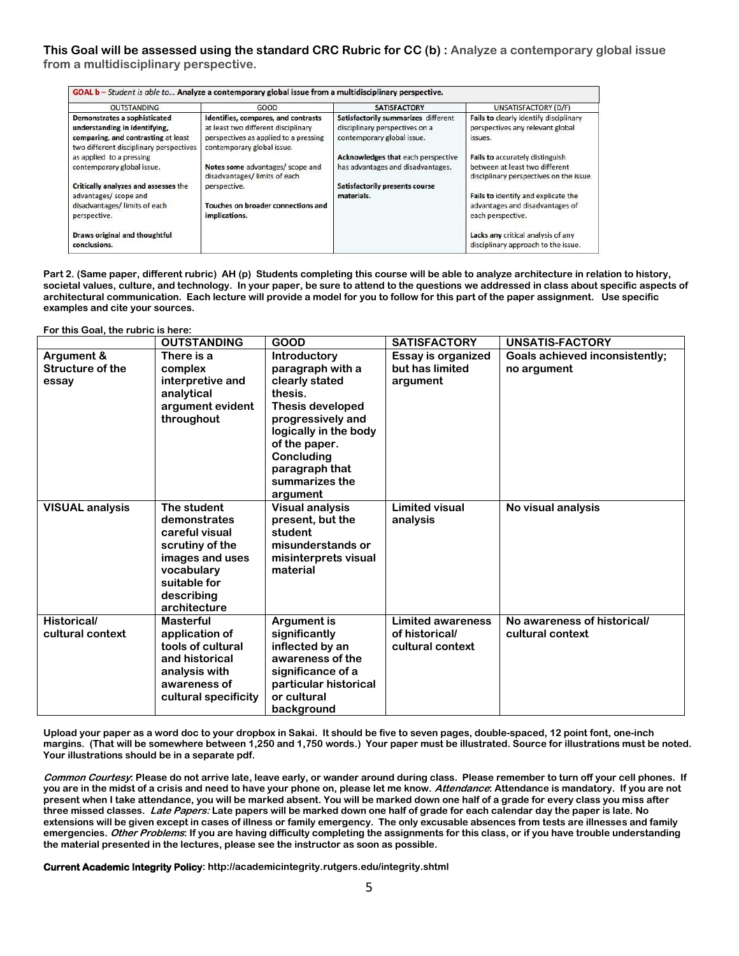**This Goal will be assessed using the standard CRC Rubric for CC (b) : Analyze a contemporary global issue from a multidisciplinary perspective.**

| <b>OUTSTANDING</b>                                                                                                                              | GOOD                                                                                                                                              | <b>SATISFACTORY</b>                                                                                 | UNSATISFACTORY (D/F)                                                                  |
|-------------------------------------------------------------------------------------------------------------------------------------------------|---------------------------------------------------------------------------------------------------------------------------------------------------|-----------------------------------------------------------------------------------------------------|---------------------------------------------------------------------------------------|
| Demonstrates a sophisticated<br>understanding in identifying,<br>comparing, and contrasting at least<br>two different disciplinary perspectives | Identifies, compares, and contrasts<br>at least two different disciplinary<br>perspectives as applied to a pressing<br>contemporary global issue. | Satisfactorily summarizes different<br>disciplinary perspectives on a<br>contemporary global issue. | Fails to clearly identify disciplinary<br>perspectives any relevant global<br>issues. |
| as applied to a pressing                                                                                                                        |                                                                                                                                                   | Acknowledges that each perspective                                                                  | Fails to accurately distinguish                                                       |
| contemporary global issue.                                                                                                                      | Notes some advantages/ scope and<br>disadvantages/limits of each                                                                                  | has advantages and disadvantages.                                                                   | between at least two different<br>disciplinary perspectives on the issue.             |
| <b>Critically analyzes and assesses the</b>                                                                                                     | perspective.                                                                                                                                      | <b>Satisfactorily presents course</b>                                                               |                                                                                       |
| advantages/ scope and                                                                                                                           |                                                                                                                                                   | materials.                                                                                          | Fails to identify and explicate the                                                   |
| disadvantages/limits of each<br>perspective.                                                                                                    | Touches on broader connections and<br>implications.                                                                                               |                                                                                                     | advantages and disadvantages of<br>each perspective.                                  |
| Draws original and thoughtful<br>conclusions.                                                                                                   |                                                                                                                                                   |                                                                                                     | Lacks any critical analysis of any<br>disciplinary approach to the issue.             |

**Part 2. (Same paper, different rubric) AH (p) Students completing this course will be able to analyze architecture in relation to history, societal values, culture, and technology. In your paper, be sure to attend to the questions we addressed in class about specific aspects of architectural communication. Each lecture will provide a model for you to follow for this part of the paper assignment. Use specific examples and cite your sources.** 

**For this Goal, the rubric is here:**

|                        | <b>OUTSTANDING</b>   | <b>GOOD</b>             | <b>SATISFACTORY</b>      | UNSATIS-FACTORY                       |
|------------------------|----------------------|-------------------------|--------------------------|---------------------------------------|
| Argument &             | There is a           | <b>Introductory</b>     | Essay is organized       | <b>Goals achieved inconsistently;</b> |
| Structure of the       | complex              | paragraph with a        | but has limited          | no argument                           |
| essay                  | interpretive and     | clearly stated          | argument                 |                                       |
|                        | analytical           | thesis.                 |                          |                                       |
|                        | argument evident     | <b>Thesis developed</b> |                          |                                       |
|                        | throughout           | progressively and       |                          |                                       |
|                        |                      | logically in the body   |                          |                                       |
|                        |                      | of the paper.           |                          |                                       |
|                        |                      | Concluding              |                          |                                       |
|                        |                      | paragraph that          |                          |                                       |
|                        |                      | summarizes the          |                          |                                       |
|                        |                      | argument                |                          |                                       |
| <b>VISUAL analysis</b> | The student          | <b>Visual analysis</b>  | <b>Limited visual</b>    | No visual analysis                    |
|                        | demonstrates         | present, but the        | analysis                 |                                       |
|                        | careful visual       | student                 |                          |                                       |
|                        | scrutiny of the      | misunderstands or       |                          |                                       |
|                        | images and uses      | misinterprets visual    |                          |                                       |
|                        | vocabulary           | material                |                          |                                       |
|                        | suitable for         |                         |                          |                                       |
|                        | describing           |                         |                          |                                       |
|                        | architecture         |                         |                          |                                       |
| <b>Historical/</b>     | <b>Masterful</b>     | <b>Argument is</b>      | <b>Limited awareness</b> | No awareness of historical/           |
| cultural context       | application of       | significantly           | of historical/           | cultural context                      |
|                        | tools of cultural    | inflected by an         | cultural context         |                                       |
|                        | and historical       | awareness of the        |                          |                                       |
|                        | analysis with        | significance of a       |                          |                                       |
|                        | awareness of         | particular historical   |                          |                                       |
|                        | cultural specificity | or cultural             |                          |                                       |
|                        |                      | background              |                          |                                       |

**Upload your paper as a word doc to your dropbox in Sakai. It should be five to seven pages, double-spaced, 12 point font, one-inch margins. (That will be somewhere between 1,250 and 1,750 words.) Your paper must be illustrated. Source for illustrations must be noted. Your illustrations should be in a separate pdf.** 

**Common Courtesy: Please do not arrive late, leave early, or wander around during class. Please remember to turn off your cell phones. If you are in the midst of a crisis and need to have your phone on, please let me know. Attendance: Attendance is mandatory. If you are not present when I take attendance, you will be marked absent. You will be marked down one half of a grade for every class you miss after three missed classes. Late Papers: Late papers will be marked down one half of grade for each calendar day the paper is late. No extensions will be given except in cases of illness or family emergency. The only excusable absences from tests are illnesses and family emergencies. Other Problems: If you are having difficulty completing the assignments for this class, or if you have trouble understanding the material presented in the lectures, please see the instructor as soon as possible.** 

**Current Academic Integrity Policy: http://academicintegrity.rutgers.edu/integrity.shtml**